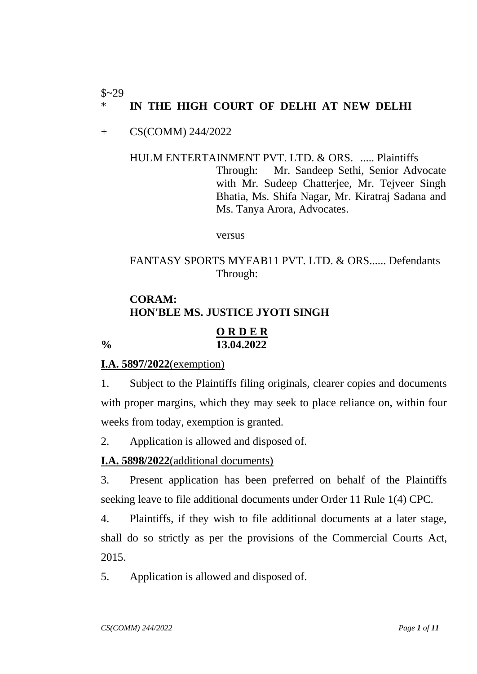#### $$~29$ IN THE HIGH COURT OF DELHI AT NEW DELHI

### + CS(COMM) 244/2022

# HULM ENTERTAINMENT PVT. LTD. & ORS. ..... Plaintiffs Through: Mr. Sandeep Sethi, Senior Advocate with Mr. Sudeep Chatterjee, Mr. Tejveer Singh Bhatia, Ms. Shifa Nagar, Mr. Kiratraj Sadana and Ms. Tanya Arora, Advocates.

versus

## FANTASY SPORTS MYFAB11 PVT. LTD. & ORS...... Defendants Through:

# **CORAM: HON'BLE MS. JUSTICE JYOTI SINGH**

#### **O R D E R % 13.04.2022**

### **I.A. 5897/2022**(exemption)

1. Subject to the Plaintiffs filing originals, clearer copies and documents with proper margins, which they may seek to place reliance on, within four weeks from today, exemption is granted.

2. Application is allowed and disposed of.

### **I.A. 5898/2022**(additional documents)

3. Present application has been preferred on behalf of the Plaintiffs seeking leave to file additional documents under Order 11 Rule 1(4) CPC.

4. Plaintiffs, if they wish to file additional documents at a later stage, shall do so strictly as per the provisions of the Commercial Courts Act, 2015.

5. Application is allowed and disposed of.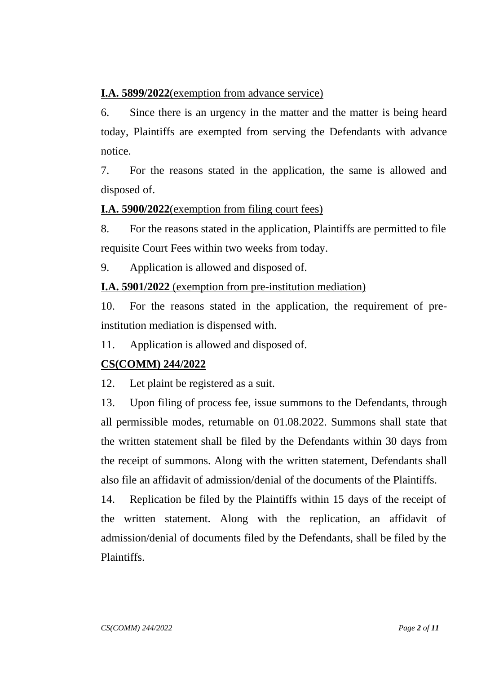# **I.A. 5899/2022**(exemption from advance service)

6. Since there is an urgency in the matter and the matter is being heard today, Plaintiffs are exempted from serving the Defendants with advance notice.

7. For the reasons stated in the application, the same is allowed and disposed of.

# **I.A. 5900/2022**(exemption from filing court fees)

8. For the reasons stated in the application, Plaintiffs are permitted to file requisite Court Fees within two weeks from today.

9. Application is allowed and disposed of.

**I.A. 5901/2022** (exemption from pre-institution mediation)

10. For the reasons stated in the application, the requirement of preinstitution mediation is dispensed with.

11. Application is allowed and disposed of.

# **CS(COMM) 244/2022**

12. Let plaint be registered as a suit.

13. Upon filing of process fee, issue summons to the Defendants, through all permissible modes, returnable on 01.08.2022. Summons shall state that the written statement shall be filed by the Defendants within 30 days from the receipt of summons. Along with the written statement, Defendants shall also file an affidavit of admission/denial of the documents of the Plaintiffs.

14. Replication be filed by the Plaintiffs within 15 days of the receipt of the written statement. Along with the replication, an affidavit of admission/denial of documents filed by the Defendants, shall be filed by the Plaintiffs.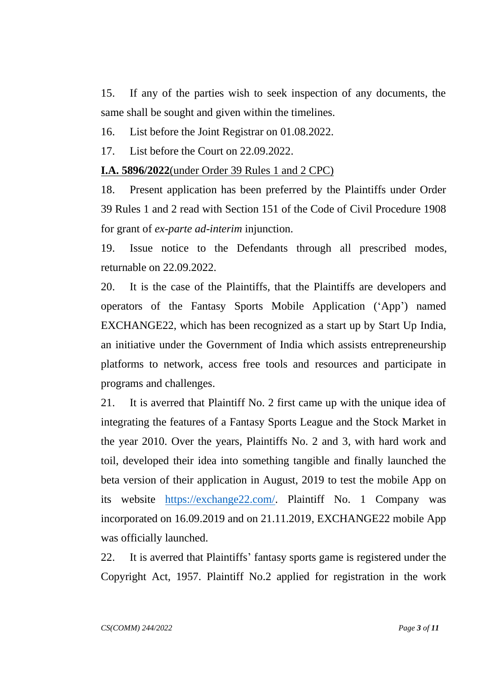15. If any of the parties wish to seek inspection of any documents, the same shall be sought and given within the timelines.

16. List before the Joint Registrar on 01.08.2022.

17. List before the Court on 22.09.2022.

**I.A. 5896/2022**(under Order 39 Rules 1 and 2 CPC)

18. Present application has been preferred by the Plaintiffs under Order 39 Rules 1 and 2 read with Section 151 of the Code of Civil Procedure 1908 for grant of *ex-parte ad-interim* injunction.

19. Issue notice to the Defendants through all prescribed modes, returnable on 22.09.2022.

20. It is the case of the Plaintiffs, that the Plaintiffs are developers and operators of the Fantasy Sports Mobile Application ('App') named EXCHANGE22, which has been recognized as a start up by Start Up India, an initiative under the Government of India which assists entrepreneurship platforms to network, access free tools and resources and participate in programs and challenges.

21. It is averred that Plaintiff No. 2 first came up with the unique idea of integrating the features of a Fantasy Sports League and the Stock Market in the year 2010. Over the years, Plaintiffs No. 2 and 3, with hard work and toil, developed their idea into something tangible and finally launched the beta version of their application in August, 2019 to test the mobile App on its website [https://exchange22.com/.](https://exchange22.com/) Plaintiff No. 1 Company was incorporated on 16.09.2019 and on 21.11.2019, EXCHANGE22 mobile App was officially launched.

22. It is averred that Plaintiffs' fantasy sports game is registered under the Copyright Act, 1957. Plaintiff No.2 applied for registration in the work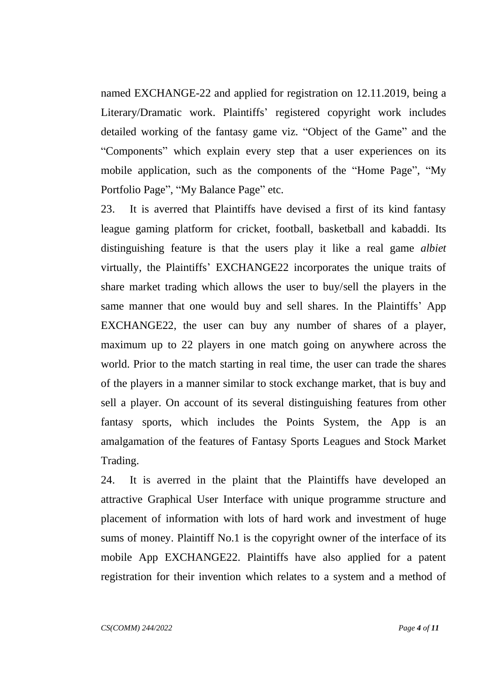named EXCHANGE-22 and applied for registration on 12.11.2019, being a Literary/Dramatic work. Plaintiffs' registered copyright work includes detailed working of the fantasy game viz. "Object of the Game" and the "Components" which explain every step that a user experiences on its mobile application, such as the components of the "Home Page", "My Portfolio Page", "My Balance Page" etc.

23. It is averred that Plaintiffs have devised a first of its kind fantasy league gaming platform for cricket, football, basketball and kabaddi. Its distinguishing feature is that the users play it like a real game *albiet*  virtually, the Plaintiffs' EXCHANGE22 incorporates the unique traits of share market trading which allows the user to buy/sell the players in the same manner that one would buy and sell shares. In the Plaintiffs' App EXCHANGE22, the user can buy any number of shares of a player, maximum up to 22 players in one match going on anywhere across the world. Prior to the match starting in real time, the user can trade the shares of the players in a manner similar to stock exchange market, that is buy and sell a player. On account of its several distinguishing features from other fantasy sports, which includes the Points System, the App is an amalgamation of the features of Fantasy Sports Leagues and Stock Market Trading.

24. It is averred in the plaint that the Plaintiffs have developed an attractive Graphical User Interface with unique programme structure and placement of information with lots of hard work and investment of huge sums of money. Plaintiff No.1 is the copyright owner of the interface of its mobile App EXCHANGE22. Plaintiffs have also applied for a patent registration for their invention which relates to a system and a method of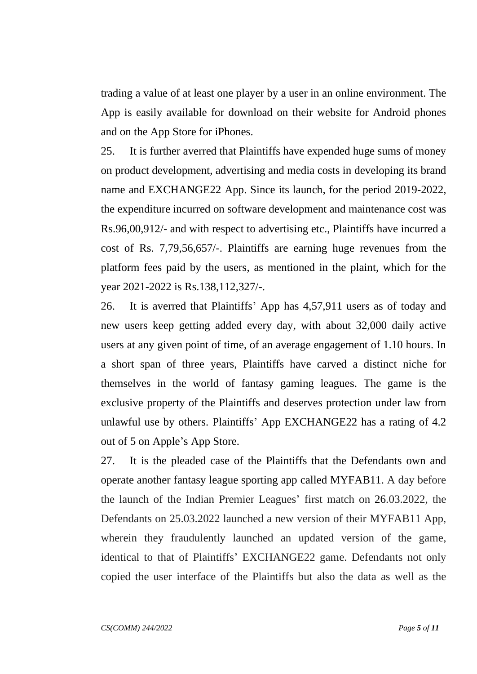trading a value of at least one player by a user in an online environment. The App is easily available for download on their website for Android phones and on the App Store for iPhones.

25. It is further averred that Plaintiffs have expended huge sums of money on product development, advertising and media costs in developing its brand name and EXCHANGE22 App. Since its launch, for the period 2019-2022, the expenditure incurred on software development and maintenance cost was Rs.96,00,912/- and with respect to advertising etc., Plaintiffs have incurred a cost of Rs. 7,79,56,657/-. Plaintiffs are earning huge revenues from the platform fees paid by the users, as mentioned in the plaint, which for the year 2021-2022 is Rs.138,112,327/-.

26. It is averred that Plaintiffs' App has 4,57,911 users as of today and new users keep getting added every day, with about 32,000 daily active users at any given point of time, of an average engagement of 1.10 hours. In a short span of three years, Plaintiffs have carved a distinct niche for themselves in the world of fantasy gaming leagues. The game is the exclusive property of the Plaintiffs and deserves protection under law from unlawful use by others. Plaintiffs' App EXCHANGE22 has a rating of 4.2 out of 5 on Apple's App Store.

27. It is the pleaded case of the Plaintiffs that the Defendants own and operate another fantasy league sporting app called MYFAB11. A day before the launch of the Indian Premier Leagues' first match on 26.03.2022, the Defendants on 25.03.2022 launched a new version of their MYFAB11 App, wherein they fraudulently launched an updated version of the game, identical to that of Plaintiffs' EXCHANGE22 game. Defendants not only copied the user interface of the Plaintiffs but also the data as well as the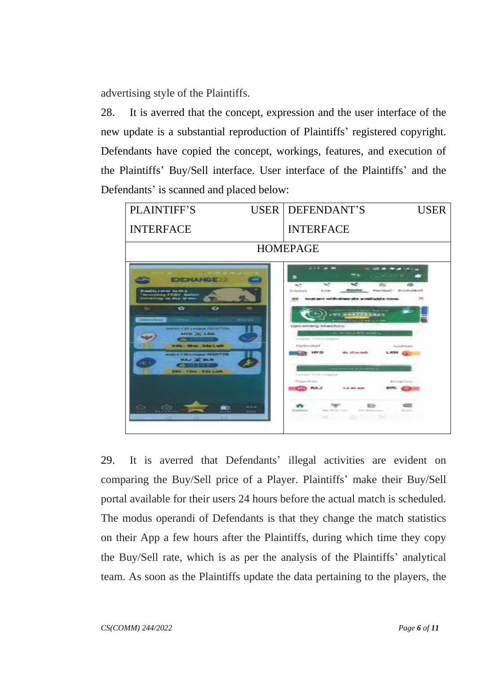advertising style of the Plaintiffs.

28. It is averred that the concept, expression and the user interface of the new update is a substantial reproduction of Plaintiffs' registered copyright. Defendants have copied the concept, workings, features, and execution of the Plaintiffs' Buy/Sell interface. User interface of the Plaintiffs' and the Defendants' is scanned and placed below:



29. It is averred that Defendants' illegal activities are evident on comparing the Buy/Sell price of a Player. Plaintiffs' make their Buy/Sell portal available for their users 24 hours before the actual match is scheduled. The modus operandi of Defendants is that they change the match statistics on their App a few hours after the Plaintiffs, during which time they copy the Buy/Sell rate, which is as per the analysis of the Plaintiffs' analytical team. As soon as the Plaintiffs update the data pertaining to the players, the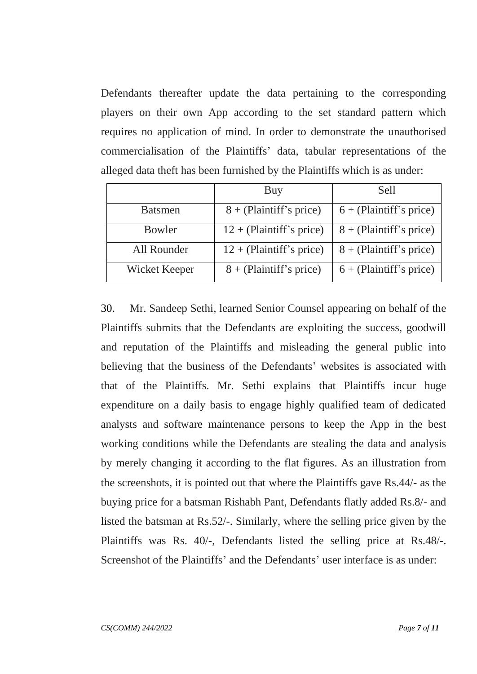Defendants thereafter update the data pertaining to the corresponding players on their own App according to the set standard pattern which requires no application of mind. In order to demonstrate the unauthorised commercialisation of the Plaintiffs' data, tabular representations of the alleged data theft has been furnished by the Plaintiffs which is as under:

|                | Buy                        | Sell                      |
|----------------|----------------------------|---------------------------|
| <b>Batsmen</b> | $8 + (Plaintiff's price)$  | $6 + (Plaintiff's price)$ |
| Bowler         | $12 + (Plaintiff's price)$ | $8 + (Plaintiff's price)$ |
| All Rounder    | $12 + (Plaintiff's price)$ | $8 + (Plaintiff's price)$ |
| Wicket Keeper  | $8 + (Plaintiff's price)$  | $6 + (Plaintiff's price)$ |

30. Mr. Sandeep Sethi, learned Senior Counsel appearing on behalf of the Plaintiffs submits that the Defendants are exploiting the success, goodwill and reputation of the Plaintiffs and misleading the general public into believing that the business of the Defendants' websites is associated with that of the Plaintiffs. Mr. Sethi explains that Plaintiffs incur huge expenditure on a daily basis to engage highly qualified team of dedicated analysts and software maintenance persons to keep the App in the best working conditions while the Defendants are stealing the data and analysis by merely changing it according to the flat figures. As an illustration from the screenshots, it is pointed out that where the Plaintiffs gave Rs.44/- as the buying price for a batsman Rishabh Pant, Defendants flatly added Rs.8/- and listed the batsman at Rs.52/-. Similarly, where the selling price given by the Plaintiffs was Rs. 40/-, Defendants listed the selling price at Rs.48/-. Screenshot of the Plaintiffs' and the Defendants' user interface is as under: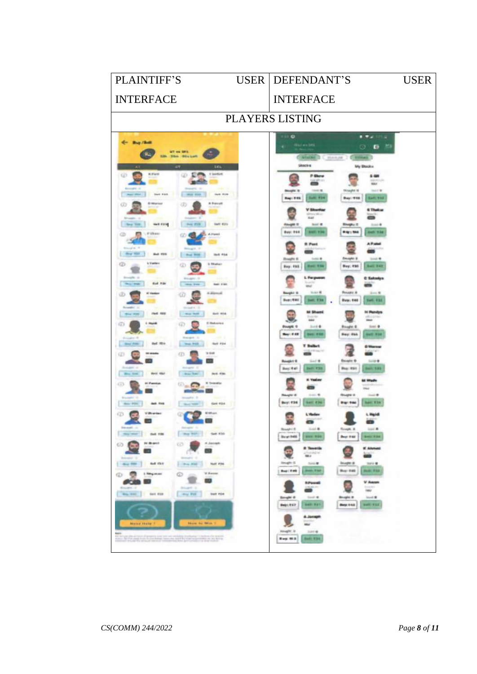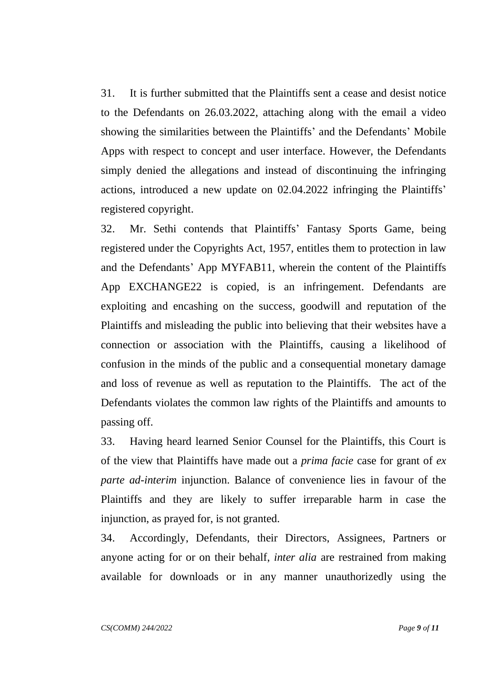31. It is further submitted that the Plaintiffs sent a cease and desist notice to the Defendants on 26.03.2022, attaching along with the email a video showing the similarities between the Plaintiffs' and the Defendants' Mobile Apps with respect to concept and user interface. However, the Defendants simply denied the allegations and instead of discontinuing the infringing actions, introduced a new update on 02.04.2022 infringing the Plaintiffs' registered copyright.

32. Mr. Sethi contends that Plaintiffs' Fantasy Sports Game, being registered under the Copyrights Act, 1957, entitles them to protection in law and the Defendants' App MYFAB11, wherein the content of the Plaintiffs App EXCHANGE22 is copied, is an infringement. Defendants are exploiting and encashing on the success, goodwill and reputation of the Plaintiffs and misleading the public into believing that their websites have a connection or association with the Plaintiffs, causing a likelihood of confusion in the minds of the public and a consequential monetary damage and loss of revenue as well as reputation to the Plaintiffs. The act of the Defendants violates the common law rights of the Plaintiffs and amounts to passing off.

33. Having heard learned Senior Counsel for the Plaintiffs, this Court is of the view that Plaintiffs have made out a *prima facie* case for grant of *ex parte ad-interim* injunction. Balance of convenience lies in favour of the Plaintiffs and they are likely to suffer irreparable harm in case the injunction, as prayed for, is not granted.

34. Accordingly, Defendants, their Directors, Assignees, Partners or anyone acting for or on their behalf, *inter alia* are restrained from making available for downloads or in any manner unauthorizedly using the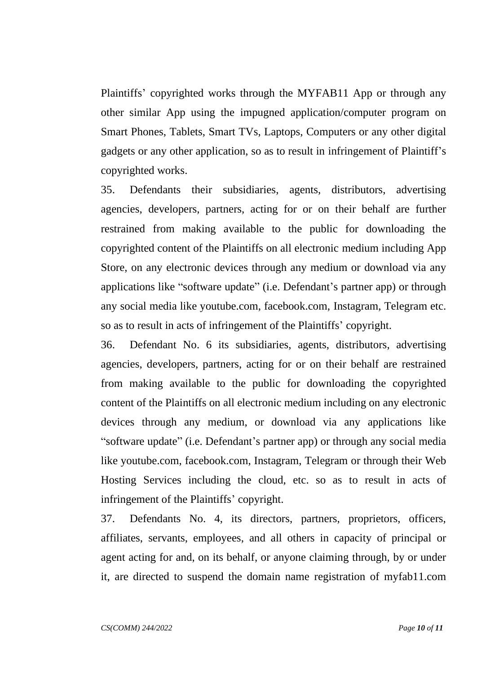Plaintiffs' copyrighted works through the MYFAB11 App or through any other similar App using the impugned application/computer program on Smart Phones, Tablets, Smart TVs, Laptops, Computers or any other digital gadgets or any other application, so as to result in infringement of Plaintiff's copyrighted works.

35. Defendants their subsidiaries, agents, distributors, advertising agencies, developers, partners, acting for or on their behalf are further restrained from making available to the public for downloading the copyrighted content of the Plaintiffs on all electronic medium including App Store, on any electronic devices through any medium or download via any applications like "software update" (i.e. Defendant's partner app) or through any social media like youtube.com, facebook.com, Instagram, Telegram etc. so as to result in acts of infringement of the Plaintiffs' copyright.

36. Defendant No. 6 its subsidiaries, agents, distributors, advertising agencies, developers, partners, acting for or on their behalf are restrained from making available to the public for downloading the copyrighted content of the Plaintiffs on all electronic medium including on any electronic devices through any medium, or download via any applications like "software update" (i.e. Defendant's partner app) or through any social media like youtube.com, facebook.com, Instagram, Telegram or through their Web Hosting Services including the cloud, etc. so as to result in acts of infringement of the Plaintiffs' copyright.

37. Defendants No. 4, its directors, partners, proprietors, officers, affiliates, servants, employees, and all others in capacity of principal or agent acting for and, on its behalf, or anyone claiming through, by or under it, are directed to suspend the domain name registration of myfab11.com